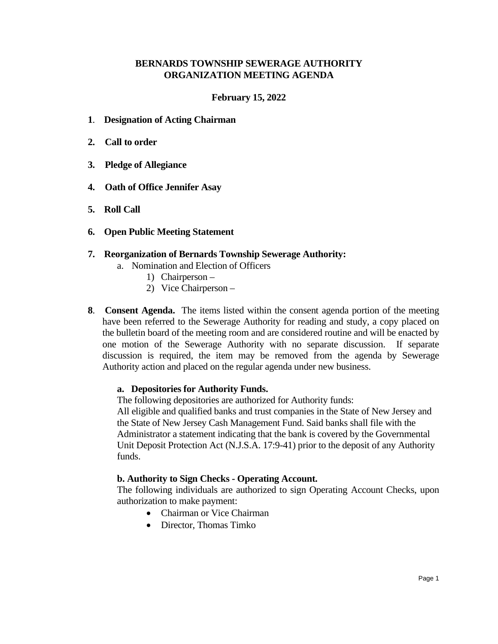#### **BERNARDS TOWNSHIP SEWERAGE AUTHORITY ORGANIZATION MEETING AGENDA**

#### **February 15, 2022**

- **1**. **Designation of Acting Chairman**
- **2. Call to order**
- **3. Pledge of Allegiance**
- **4. Oath of Office Jennifer Asay**
- **5. Roll Call**
- **6. Open Public Meeting Statement**
- **7. Reorganization of Bernards Township Sewerage Authority:**
	- a. Nomination and Election of Officers
		- 1) Chairperson
			- 2) Vice Chairperson –
- **8**. **Consent Agenda.** The items listed within the consent agenda portion of the meeting have been referred to the Sewerage Authority for reading and study, a copy placed on the bulletin board of the meeting room and are considered routine and will be enacted by one motion of the Sewerage Authority with no separate discussion. If separate discussion is required, the item may be removed from the agenda by Sewerage Authority action and placed on the regular agenda under new business.

### **a. Depositories for Authority Funds.**

The following depositories are authorized for Authority funds: All eligible and qualified banks and trust companies in the State of New Jersey and the State of New Jersey Cash Management Fund. Said banks shall file with the Administrator a statement indicating that the bank is covered by the Governmental Unit Deposit Protection Act (N.J.S.A. 17:9-41) prior to the deposit of any Authority funds.

### **b. Authority to Sign Checks - Operating Account.**

The following individuals are authorized to sign Operating Account Checks, upon authorization to make payment:

- Chairman or Vice Chairman
- Director, Thomas Timko